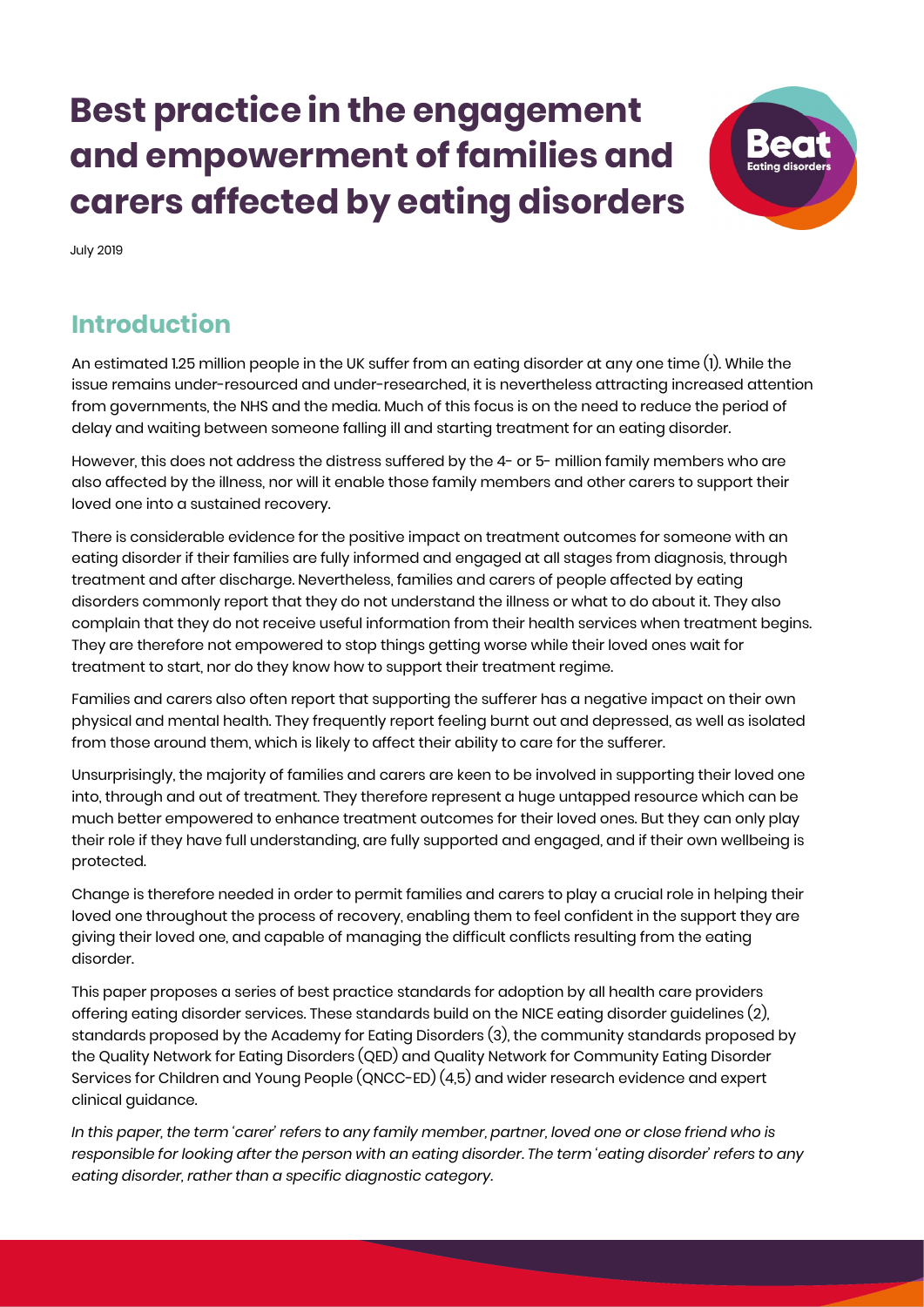# **Best practice in the engagement and empowerment of families and carers affected by eating disorders**



July 2019

## **Introduction**

An estimated 1.25 million people in the UK suffer from an eating disorder at any one time (1). While the issue remains under-resourced and under-researched, it is nevertheless attracting increased attention from governments, the NHS and the media. Much of this focus is on the need to reduce the period of delay and waiting between someone falling ill and starting treatment for an eating disorder.

However, this does not address the distress suffered by the 4- or 5- million family members who are also affected by the illness, nor will it enable those family members and other carers to support their loved one into a sustained recovery.

There is considerable evidence for the positive impact on treatment outcomes for someone with an eating disorder if their families are fully informed and engaged at all stages from diagnosis, through treatment and after discharge. Nevertheless, families and carers of people affected by eating disorders commonly report that they do not understand the illness or what to do about it. They also complain that they do not receive useful information from their health services when treatment begins. They are therefore not empowered to stop things getting worse while their loved ones wait for treatment to start, nor do they know how to support their treatment regime.

Families and carers also often report that supporting the sufferer has a negative impact on their own physical and mental health. They frequently report feeling burnt out and depressed, as well as isolated from those around them, which is likely to affect their ability to care for the sufferer.

Unsurprisingly, the majority of families and carers are keen to be involved in supporting their loved one into, through and out of treatment. They therefore represent a huge untapped resource which can be much better empowered to enhance treatment outcomes for their loved ones. But they can only play their role if they have full understanding, are fully supported and engaged, and if their own wellbeing is protected.

Change is therefore needed in order to permit families and carers to play a crucial role in helping their loved one throughout the process of recovery, enabling them to feel confident in the support they are giving their loved one, and capable of managing the difficult conflicts resulting from the eating disorder.

This paper proposes a series of best practice standards for adoption by all health care providers offering eating disorder services. These standards build on the NICE eating disorder guidelines (2), standards proposed by the Academy for Eating Disorders (3), the community standards proposed by the Quality Network for Eating Disorders (QED) and Quality Network for Community Eating Disorder Services for Children and Young People (QNCC-ED) (4,5) and wider research evidence and expert clinical guidance.

*In this paper, the term 'carer' refers to any family member, partner, loved one or close friend who is responsible for looking after the person with an eating disorder. The term 'eating disorder' refers to any eating disorder, rather than a specific diagnostic category.*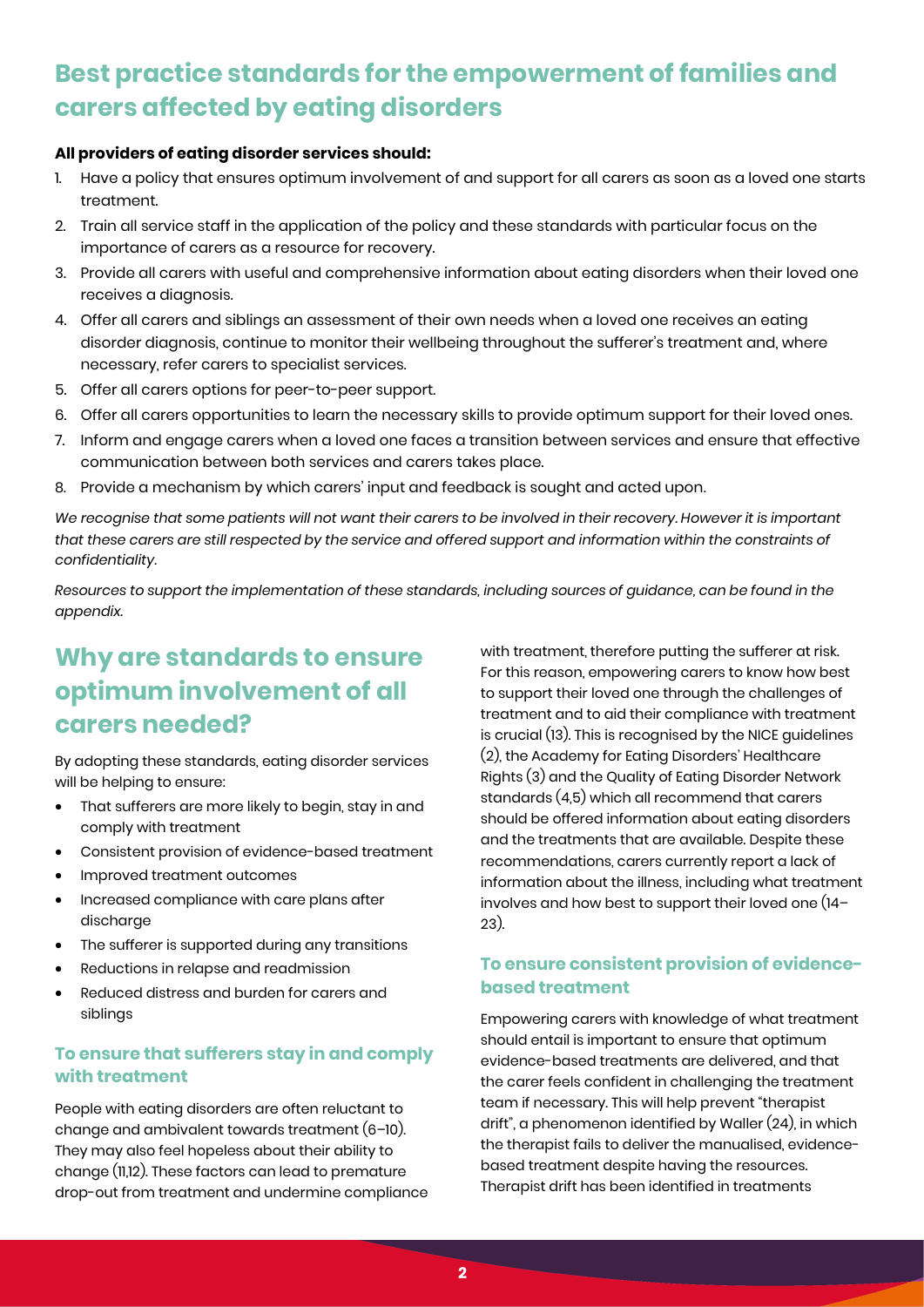## **Best practice standards for the empowerment of families and carers affected by eating disorders**

### **All providers of eating disorder services should:**

- Have a policy that ensures optimum involvement of and support for all carers as soon as a loved one starts treatment.
- 2. Train all service staff in the application of the policy and these standards with particular focus on the importance of carers as a resource for recovery.
- 3. Provide all carers with useful and comprehensive information about eating disorders when their loved one receives a diagnosis.
- 4. Offer all carers and siblings an assessment of their own needs when a loved one receives an eating disorder diagnosis, continue to monitor their wellbeing throughout the sufferer's treatment and, where necessary, refer carers to specialist services.
- 5. Offer all carers options for peer-to-peer support.
- 6. Offer all carers opportunities to learn the necessary skills to provide optimum support for their loved ones.
- 7. Inform and engage carers when a loved one faces a transition between services and ensure that effective communication between both services and carers takes place.
- 8. Provide a mechanism by which carers' input and feedback is sought and acted upon.

We recognise that some patients will not want their carers to be involved in their recovery. However it is important that these carers are still respected by the service and offered support and information within the constraints of *confidentiality.* 

*Resources to support the implementation of these standards, including sources of guidance, can be found in the appendix.*

## **Why are standards to ensure optimum involvement of all carers needed?**

By adopting these standards, eating disorder services will be helping to ensure:

- That sufferers are more likely to begin, stay in and comply with treatment
- Consistent provision of evidence-based treatment
- Improved treatment outcomes
- Increased compliance with care plans after discharae
- The sufferer is supported during any transitions
- Reductions in relapse and readmission
- Reduced distress and burden for carers and siblings

## **To ensure that sufferers stay in and comply with treatment**

People with eating disorders are often reluctant to change and ambivalent towards treatment (6–10). They may also feel hopeless about their ability to change (11,12). These factors can lead to premature drop-out from treatment and undermine compliance with treatment, therefore putting the sufferer at risk. For this reason, empowering carers to know how best to support their loved one through the challenges of treatment and to aid their compliance with treatment is crucial (13). This is recognised by the NICE guidelines (2), the Academy for Eating Disorders' Healthcare Rights (3) and the Quality of Eating Disorder Network standards (4,5) which all recommend that carers should be offered information about eating disorders and the treatments that are available. Despite these recommendations, carers currently report a lack of information about the illness, including what treatment involves and how best to support their loved one (14– 23).

## **To ensure consistent provision of evidencebased treatment**

Empowering carers with knowledge of what treatment should entail is important to ensure that optimum evidence-based treatments are delivered, and that the carer feels confident in challenging the treatment team if necessary. This will help prevent "therapist drift", a phenomenon identified by Waller (24), in which the therapist fails to deliver the manualised, evidencebased treatment despite having the resources. Therapist drift has been identified in treatments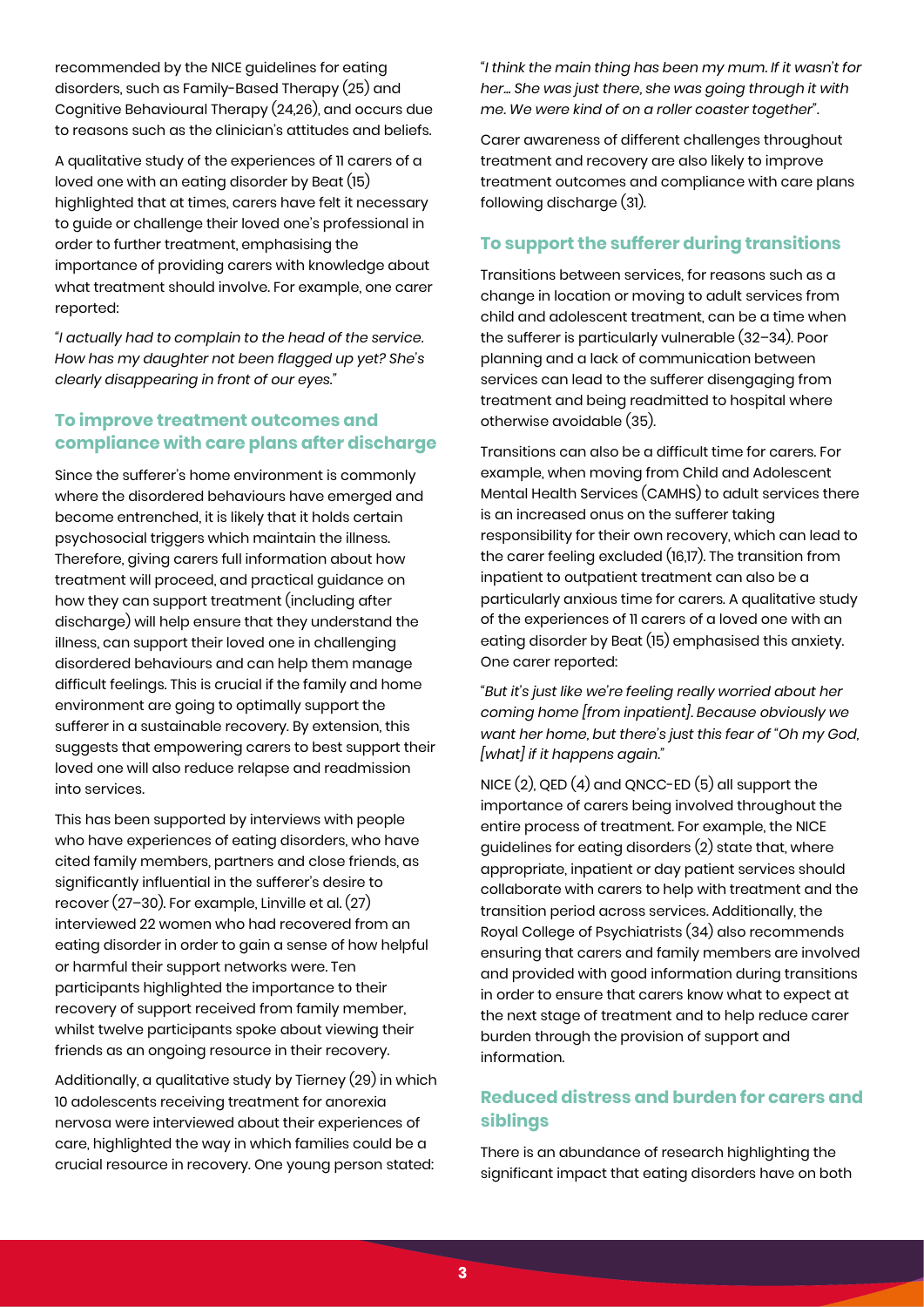recommended by the NICE guidelines for eating disorders, such as Family-Based Therapy (25) and Cognitive Behavioural Therapy (24,26), and occurs due to reasons such as the clinician's attitudes and beliefs.

A qualitative study of the experiences of 11 carers of a loved one with an eating disorder by Beat (15) highlighted that at times, carers have felt it necessary to guide or challenge their loved one's professional in order to further treatment, emphasising the importance of providing carers with knowledge about what treatment should involve. For example, one carer reported:

*"I actually had to complain to the head of the service. How has my daughter not been flagged up yet? She's clearly disappearing in front of our eyes."* 

## **To improve treatment outcomes and compliance with care plans after discharge**

Since the sufferer's home environment is commonly where the disordered behaviours have emerged and become entrenched, it is likely that it holds certain psychosocial triggers which maintain the illness. Therefore, giving carers full information about how treatment will proceed, and practical guidance on how they can support treatment (including after discharge) will help ensure that they understand the illness, can support their loved one in challenging disordered behaviours and can help them manage difficult feelings. This is crucial if the family and home environment are going to optimally support the sufferer in a sustainable recovery. By extension, this suggests that empowering carers to best support their loved one will also reduce relapse and readmission into services.

This has been supported by interviews with people who have experiences of eating disorders, who have cited family members, partners and close friends, as significantly influential in the sufferer's desire to recover (27–30). For example, Linville et al. (27) interviewed 22 women who had recovered from an eating disorder in order to gain a sense of how helpful or harmful their support networks were. Ten participants highlighted the importance to their recovery of support received from family member, whilst twelve participants spoke about viewing their friends as an ongoing resource in their recovery.

Additionally, a qualitative study by Tierney (29) in which 10 adolescents receiving treatment for anorexia nervosa were interviewed about their experiences of care, highlighted the way in which families could be a crucial resource in recovery. One young person stated:

*"I think the main thing has been my mum. If it wasn't for her... She was just there, she was going through it with me. We were kind of on a roller coaster together".* 

Carer awareness of different challenges throughout treatment and recovery are also likely to improve treatment outcomes and compliance with care plans following discharge (31).

## **To support the sufferer during transitions**

Transitions between services, for reasons such as a change in location or moving to adult services from child and adolescent treatment, can be a time when the sufferer is particularly vulnerable (32–34). Poor planning and a lack of communication between services can lead to the sufferer disengaging from treatment and being readmitted to hospital where otherwise avoidable (35).

Transitions can also be a difficult time for carers. For example, when moving from Child and Adolescent Mental Health Services (CAMHS) to adult services there is an increased onus on the sufferer taking responsibility for their own recovery, which can lead to the carer feeling excluded (16,17). The transition from inpatient to outpatient treatment can also be a particularly anxious time for carers. A qualitative study of the experiences of 11 carers of a loved one with an eating disorder by Beat (15) emphasised this anxiety. One carer reported:

*"But it's just like we're feeling really worried about her coming home [from inpatient]. Because obviously we want her home, but there's just this fear of "Oh my God, [what] if it happens again."* 

NICE (2), QED (4) and QNCC-ED (5) all support the importance of carers being involved throughout the entire process of treatment. For example, the NICE guidelines for eating disorders (2) state that, where appropriate, inpatient or day patient services should collaborate with carers to help with treatment and the transition period across services. Additionally, the Royal College of Psychiatrists (34) also recommends ensuring that carers and family members are involved and provided with good information during transitions in order to ensure that carers know what to expect at the next stage of treatment and to help reduce carer burden through the provision of support and information.

## **Reduced distress and burden for carers and siblings**

There is an abundance of research highlighting the significant impact that eating disorders have on both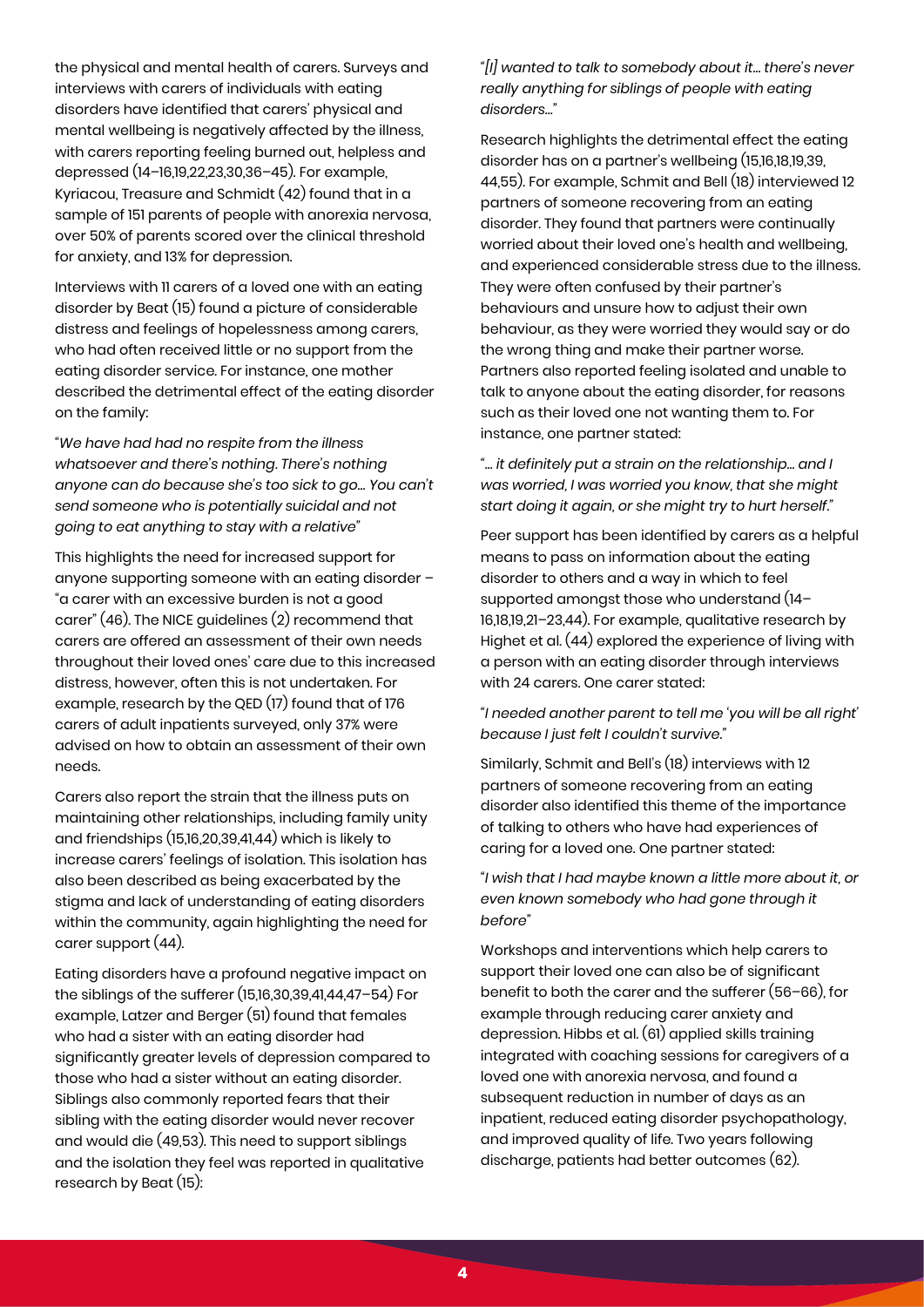the physical and mental health of carers. Surveys and interviews with carers of individuals with eating disorders have identified that carers' physical and mental wellbeing is negatively affected by the illness, with carers reporting feeling burned out, helpless and depressed (14–16,19,22,23,30,36–45). For example, Kyriacou, Treasure and Schmidt (42) found that in a sample of 151 parents of people with anorexia nervosa, over 50% of parents scored over the clinical threshold for anxiety, and 13% for depression.

Interviews with 11 carers of a loved one with an eating disorder by Beat (15) found a picture of considerable distress and feelings of hopelessness among carers, who had often received little or no support from the eating disorder service. For instance, one mother described the detrimental effect of the eating disorder on the family:

*"We have had had no respite from the illness whatsoever and there's nothing. There's nothing anyone can do because she's too sick to go… You can't send someone who is potentially suicidal and not going to eat anything to stay with a relative"* 

This highlights the need for increased support for anyone supporting someone with an eating disorder – "a carer with an excessive burden is not a good carer" (46). The NICE guidelines (2) recommend that carers are offered an assessment of their own needs throughout their loved ones' care due to this increased distress, however, often this is not undertaken. For example, research by the QED (17) found that of 176 carers of adult inpatients surveyed, only 37% were advised on how to obtain an assessment of their own needs.

Carers also report the strain that the illness puts on maintaining other relationships, including family unity and friendships (15,16,20,39,41,44) which is likely to increase carers' feelings of isolation. This isolation has also been described as being exacerbated by the stigma and lack of understanding of eating disorders within the community, again highlighting the need for carer support (44).

Eating disorders have a profound negative impact on the siblings of the sufferer (15,16,30,39,41,44,47–54) For example, Latzer and Berger (51) found that females who had a sister with an eating disorder had significantly greater levels of depression compared to those who had a sister without an eating disorder. Siblings also commonly reported fears that their sibling with the eating disorder would never recover and would die (49,53). This need to support siblings and the isolation they feel was reported in qualitative research by Beat (15):

*"[I] wanted to talk to somebody about it… there's never really anything for siblings of people with eating disorders…"*

Research highlights the detrimental effect the eating disorder has on a partner's wellbeing (15,16,18,19,39, 44,55). For example, Schmit and Bell (18) interviewed 12 partners of someone recovering from an eating disorder. They found that partners were continually worried about their loved one's health and wellbeing, and experienced considerable stress due to the illness. They were often confused by their partner's behaviours and unsure how to adjust their own behaviour, as they were worried they would say or do the wrong thing and make their partner worse. Partners also reported feeling isolated and unable to talk to anyone about the eating disorder, for reasons such as their loved one not wanting them to. For instance, one partner stated:

*"… it definitely put a strain on the relationship… and I was worried, I was worried you know, that she might start doing it again, or she might try to hurt herself."*

Peer support has been identified by carers as a helpful means to pass on information about the eating disorder to others and a way in which to feel supported amongst those who understand (14– 16,18,19,21–23,44). For example, qualitative research by Highet et al. (44) explored the experience of living with a person with an eating disorder through interviews with 24 carers. One carer stated:

### *"I needed another parent to tell me 'you will be all right' because I just felt I couldn't survive."*

Similarly, Schmit and Bell's (18) interviews with 12 partners of someone recovering from an eating disorder also identified this theme of the importance of talking to others who have had experiences of caring for a loved one. One partner stated:

*"I wish that I had maybe known a little more about it, or even known somebody who had gone through it before"* 

Workshops and interventions which help carers to support their loved one can also be of significant benefit to both the carer and the sufferer (56–66), for example through reducing carer anxiety and depression. Hibbs et al. (61) applied skills training integrated with coaching sessions for caregivers of a loved one with anorexia nervosa, and found a subsequent reduction in number of days as an inpatient, reduced eating disorder psychopathology, and improved quality of life. Two years following discharge, patients had better outcomes (62).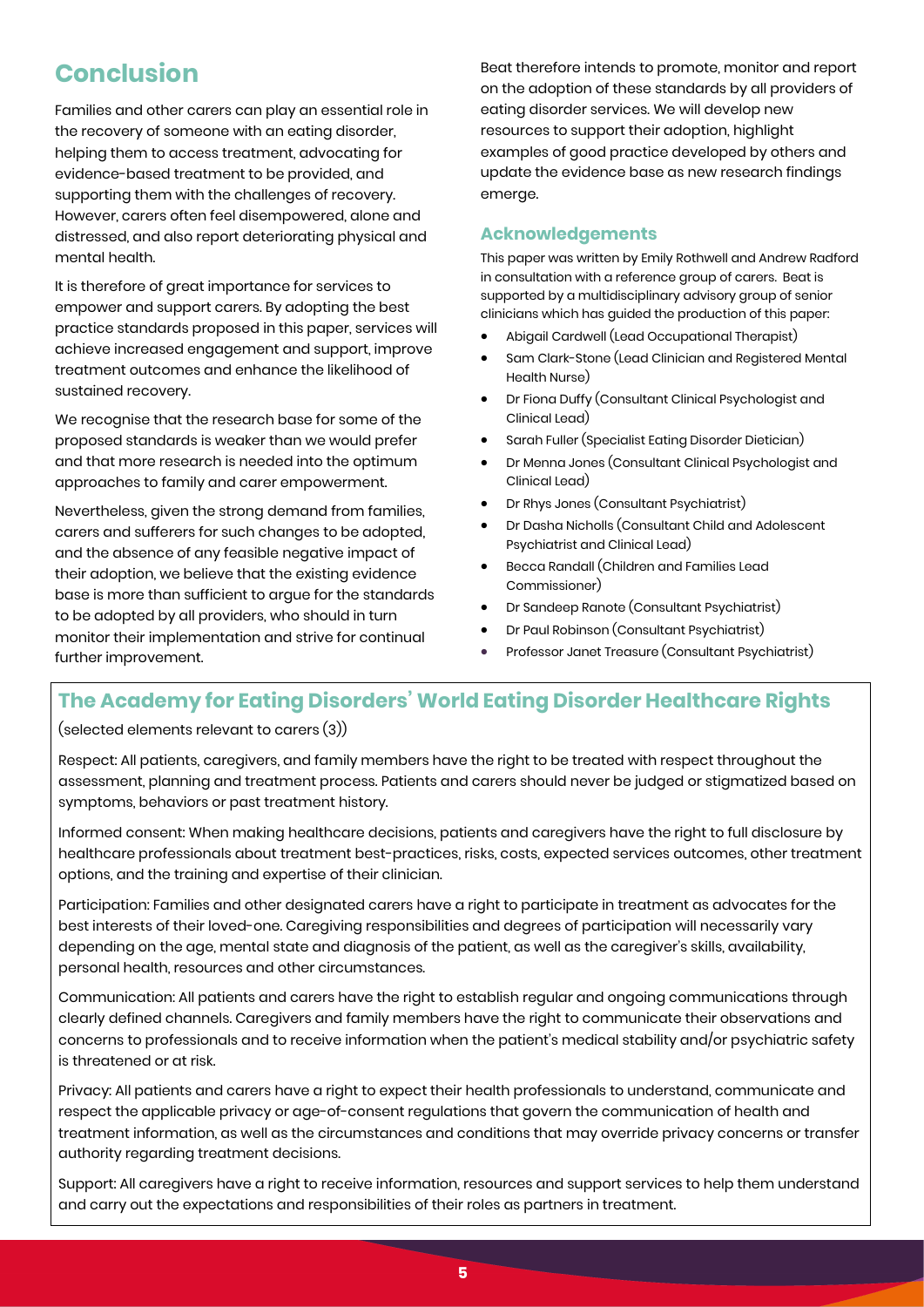## **Conclusion**

Families and other carers can play an essential role in the recovery of someone with an eating disorder, helping them to access treatment, advocating for evidence-based treatment to be provided, and supporting them with the challenges of recovery. However, carers often feel disempowered, alone and distressed, and also report deteriorating physical and mental health.

It is therefore of great importance for services to empower and support carers. By adopting the best practice standards proposed in this paper, services will achieve increased engagement and support, improve treatment outcomes and enhance the likelihood of sustained recovery.

We recognise that the research base for some of the proposed standards is weaker than we would prefer and that more research is needed into the optimum approaches to family and carer empowerment.

Nevertheless, given the strong demand from families, carers and sufferers for such changes to be adopted, and the absence of any feasible negative impact of their adoption, we believe that the existing evidence base is more than sufficient to argue for the standards to be adopted by all providers, who should in turn monitor their implementation and strive for continual further improvement.

Beat therefore intends to promote, monitor and report on the adoption of these standards by all providers of eating disorder services. We will develop new resources to support their adoption, highlight examples of good practice developed by others and update the evidence base as new research findings emerge.

## **Acknowledgements**

This paper was written by Emily Rothwell and Andrew Radford in consultation with a reference group of carers. Beat is supported by a multidisciplinary advisory group of senior clinicians which has guided the production of this paper:

- Abigail Cardwell (Lead Occupational Therapist)
- Sam Clark-Stone (Lead Clinician and Registered Mental Health Nurse)
- Dr Fiona Duffy (Consultant Clinical Psychologist and Clinical Lead)
- Sarah Fuller (Specialist Eating Disorder Dietician)
- Dr Menna Jones (Consultant Clinical Psychologist and Clinical Lead)
- Dr Rhys Jones (Consultant Psychiatrist)
- Dr Dasha Nicholls (Consultant Child and Adolescent Psychiatrist and Clinical Lead)
- Becca Randall (Children and Families Lead Commissioner)
- Dr Sandeep Ranote (Consultant Psychiatrist)
- Dr Paul Robinson (Consultant Psychiatrist)
- Professor Janet Treasure (Consultant Psychiatrist)

## **The Academy for Eating Disorders' World Eating Disorder Healthcare Rights**

(selected elements relevant to carers (3))

Respect: All patients, caregivers, and family members have the right to be treated with respect throughout the assessment, planning and treatment process. Patients and carers should never be judged or stigmatized based on symptoms, behaviors or past treatment history.

Informed consent: When making healthcare decisions, patients and caregivers have the right to full disclosure by healthcare professionals about treatment best-practices, risks, costs, expected services outcomes, other treatment options, and the training and expertise of their clinician.

Participation: Families and other designated carers have a right to participate in treatment as advocates for the best interests of their loved-one. Caregiving responsibilities and degrees of participation will necessarily vary depending on the age, mental state and diagnosis of the patient, as well as the caregiver's skills, availability, personal health, resources and other circumstances.

Communication: All patients and carers have the right to establish regular and ongoing communications through clearly defined channels. Caregivers and family members have the right to communicate their observations and concerns to professionals and to receive information when the patient's medical stability and/or psychiatric safety is threatened or at risk.

Privacy: All patients and carers have a right to expect their health professionals to understand, communicate and respect the applicable privacy or age-of-consent regulations that govern the communication of health and treatment information, as well as the circumstances and conditions that may override privacy concerns or transfer authority regarding treatment decisions.

Support: All caregivers have a right to receive information, resources and support services to help them understand and carry out the expectations and responsibilities of their roles as partners in treatment.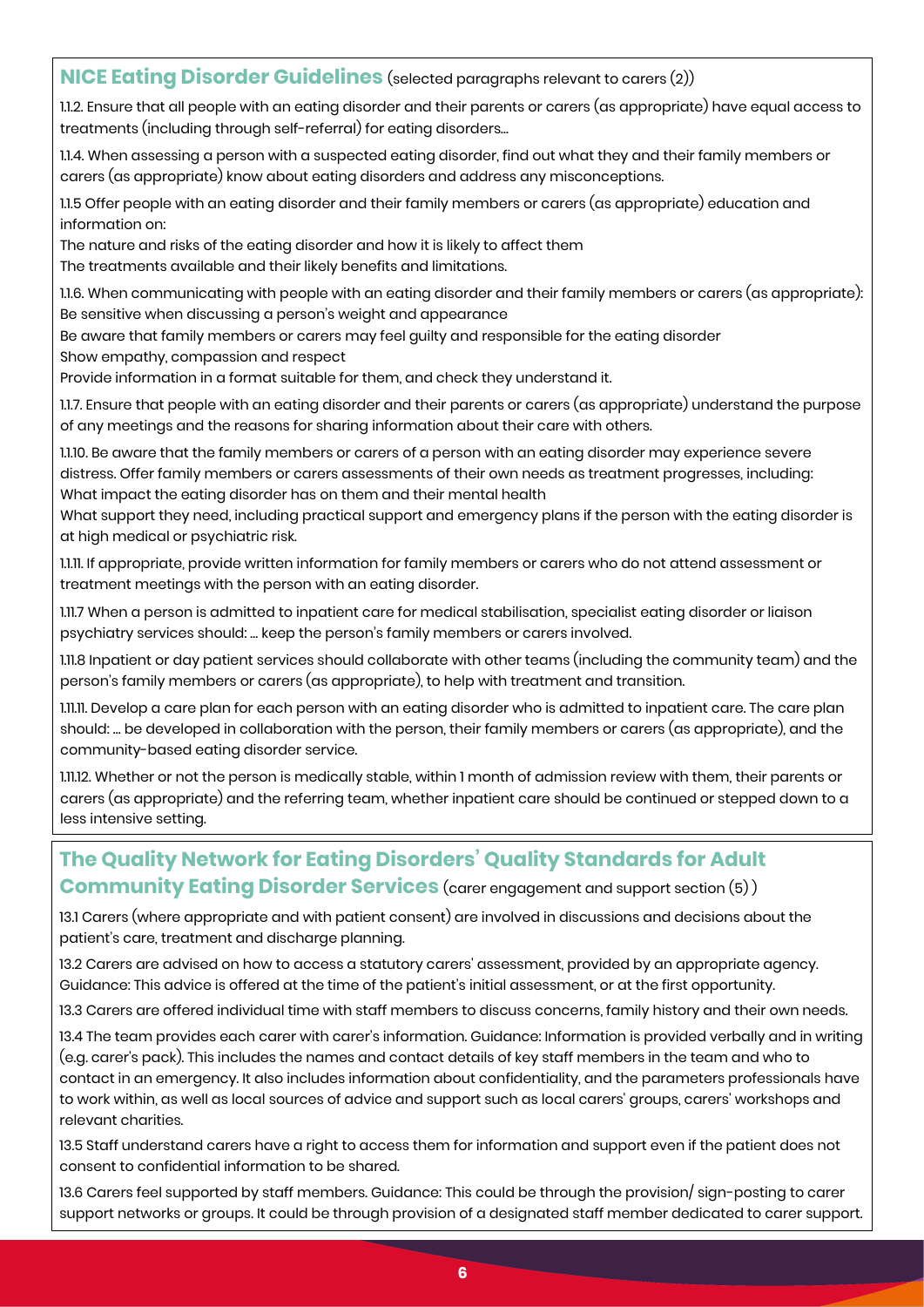## **NICE Eating Disorder Guidelines** (selected paragraphs relevant to carers (2))

1.1.2. Ensure that all people with an eating disorder and their parents or carers (as appropriate) have equal access to treatments (including through self-referral) for eating disorders…

1.1.4. When assessing a person with a suspected eating disorder, find out what they and their family members or carers (as appropriate) know about eating disorders and address any misconceptions.

1.1.5 Offer people with an eating disorder and their family members or carers (as appropriate) education and information on:

The nature and risks of the eating disorder and how it is likely to affect them The treatments available and their likely benefits and limitations.

1.1.6. When communicating with people with an eating disorder and their family members or carers (as appropriate): Be sensitive when discussing a person's weight and appearance

Be aware that family members or carers may feel guilty and responsible for the eating disorder

Show empathy, compassion and respect Provide information in a format suitable for them, and check they understand it.

1.1.7. Ensure that people with an eating disorder and their parents or carers (as appropriate) understand the purpose of any meetings and the reasons for sharing information about their care with others.

1.1.10. Be aware that the family members or carers of a person with an eating disorder may experience severe distress. Offer family members or carers assessments of their own needs as treatment progresses, including: What impact the eating disorder has on them and their mental health

What support they need, including practical support and emergency plans if the person with the eating disorder is at high medical or psychiatric risk.

1.1.11. If appropriate, provide written information for family members or carers who do not attend assessment or treatment meetings with the person with an eating disorder.

1.11.7 When a person is admitted to inpatient care for medical stabilisation, specialist eating disorder or liaison psychiatry services should: … keep the person's family members or carers involved.

1.11.8 Inpatient or day patient services should collaborate with other teams (including the community team) and the person's family members or carers (as appropriate), to help with treatment and transition.

1.11.11. Develop a care plan for each person with an eating disorder who is admitted to inpatient care. The care plan should: … be developed in collaboration with the person, their family members or carers (as appropriate), and the community-based eating disorder service.

1.11.12. Whether or not the person is medically stable, within 1 month of admission review with them, their parents or carers (as appropriate) and the referring team, whether inpatient care should be continued or stepped down to a less intensive setting.

## **The Quality Network for Eating Disorders' Quality Standards for Adult Community Eating Disorder Services** (carer engagement and support section (5))

13.1 Carers (where appropriate and with patient consent) are involved in discussions and decisions about the patient's care, treatment and discharge planning.

13.2 Carers are advised on how to access a statutory carers' assessment, provided by an appropriate agency. Guidance: This advice is offered at the time of the patient's initial assessment, or at the first opportunity.

13.3 Carers are offered individual time with staff members to discuss concerns, family history and their own needs.

13.4 The team provides each carer with carer's information. Guidance: Information is provided verbally and in writing (e.g. carer's pack). This includes the names and contact details of key staff members in the team and who to contact in an emergency. It also includes information about confidentiality, and the parameters professionals have to work within, as well as local sources of advice and support such as local carers' groups, carers' workshops and relevant charities.

13.5 Staff understand carers have a right to access them for information and support even if the patient does not consent to confidential information to be shared.

13.6 Carers feel supported by staff members. Guidance: This could be through the provision/ sign-posting to carer support networks or groups. It could be through provision of a designated staff member dedicated to carer support.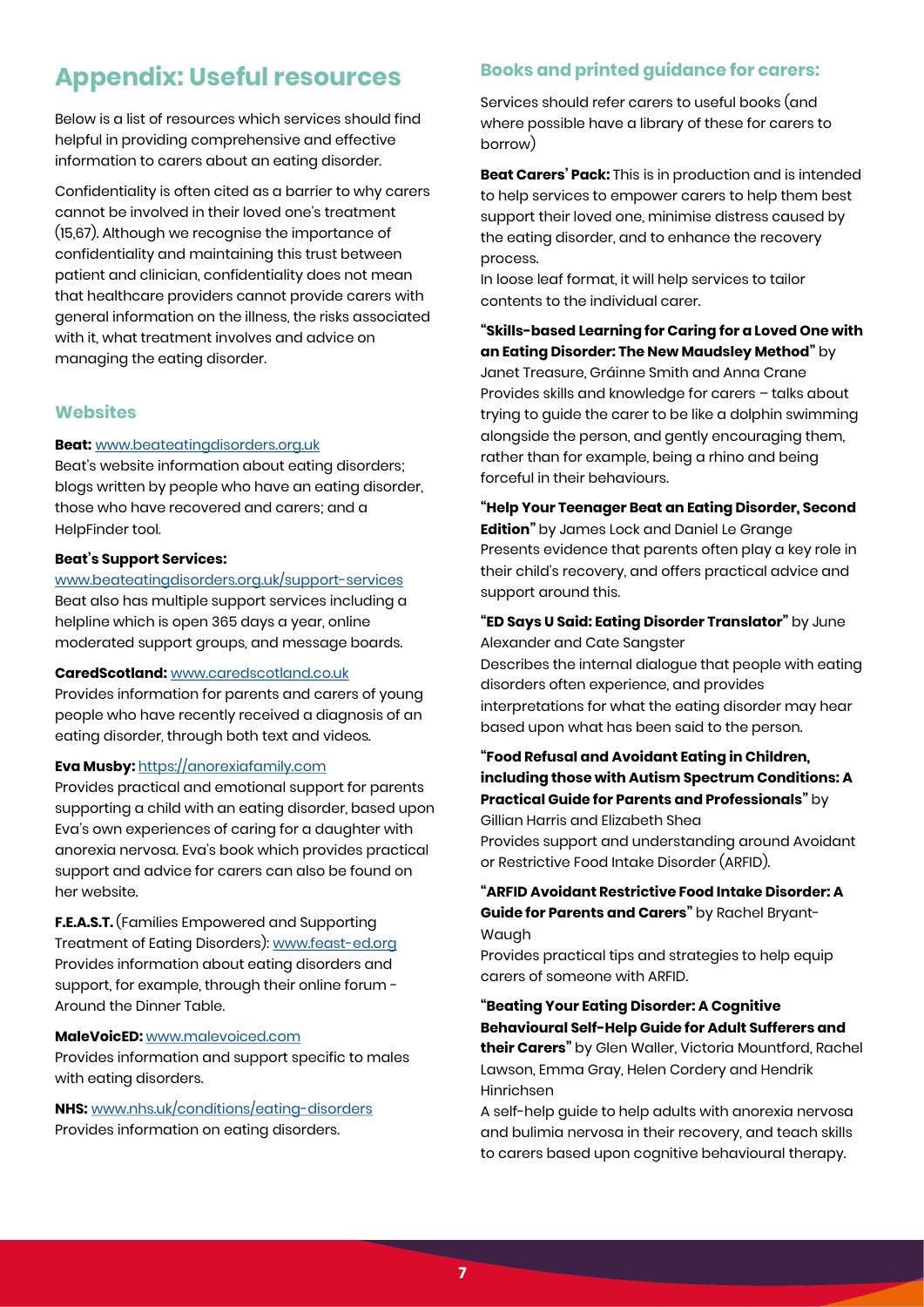## **Appendix: Useful resources**

Below is a list of resources which services should find helpful in providing comprehensive and effective information to carers about an eating disorder.

Confidentiality is often cited as a barrier to why carers cannot be involved in their loved one's treatment (15,67). Although we recognise the importance of confidentiality and maintaining this trust between patient and clinician, confidentiality does not mean that healthcare providers cannot provide carers with general information on the illness, the risks associated with it, what treatment involves and advice on managing the eating disorder.

## **Websites**

### **Beat:** [www.beateatingdisorders.org.uk](https://www.beateatingdisorders.org.uk/)

Beat's website information about eating disorders; blogs written by people who have an eating disorder, those who have recovered and carers; and a HelpFinder tool.

### **Beat's Support Services:**

[www.beateatingdisorders.org.uk/support-services](https://www.beateatingdisorders.org.uk/support-services) Beat also has multiple support services including a

helpline which is open 365 days a year, online moderated support groups, and message boards.

#### **CaredScotland:** [www.caredscotland.co.uk](https://www.caredscotland.co.uk/)

Provides information for parents and carers of young people who have recently received a diagnosis of an eating disorder, through both text and videos.

#### **Eva Musby:** [https://anorexiafamily.com](https://anorexiafamily.com/)

Provides practical and emotional support for parents supporting a child with an eating disorder, based upon Eva's own experiences of caring for a daughter with anorexia nervosa. Eva's book which provides practical support and advice for carers can also be found on her website.

**F.E.A.S.T.** (Families Empowered and Supporting Treatment of Eating Disorders): [www.feast-ed.org](https://www.feast-ed.org/) Provides information about eating disorders and support, for example, through their online forum - Around the Dinner Table.

#### **MaleVoicED:** [www.malevoiced.com](https://www.malevoiced.com/)

Provides information and support specific to males with eating disorders.

**NHS:** [www.nhs.uk/conditions/eating-disorders](https://www.nhs.uk/conditions/eating-disorders/) Provides information on eating disorders.

## **Books and printed guidance for carers:**

Services should refer carers to useful books (and where possible have a library of these for carers to borrow)

**Beat Carers' Pack:** This is in production and is intended to help services to empower carers to help them best support their loved one, minimise distress caused by the eating disorder, and to enhance the recovery process.

In loose leaf format, it will help services to tailor contents to the individual carer.

**"Skills-based Learning for Caring for a Loved One with an Eating Disorder: The New Maudsley Method"** by Janet Treasure, Gráinne Smith and Anna Crane Provides skills and knowledge for carers – talks about trying to guide the carer to be like a dolphin swimming alongside the person, and gently encouraging them, rather than for example, being a rhino and being forceful in their behaviours.

**"Help Your Teenager Beat an Eating Disorder, Second Edition"** by James Lock and Daniel Le Grange Presents evidence that parents often play a key role in their child's recovery, and offers practical advice and support around this.

**"ED Says U Said: Eating Disorder Translator"** by June Alexander and Cate Sangster

Describes the internal dialogue that people with eating disorders often experience, and provides interpretations for what the eating disorder may hear based upon what has been said to the person.

**"Food Refusal and Avoidant Eating in Children, including those with Autism Spectrum Conditions: A Practical Guide for Parents and Professionals"** by Gillian Harris and Elizabeth Shea Provides support and understanding around Avoidant or Restrictive Food Intake Disorder (ARFID).

**"ARFID Avoidant Restrictive Food Intake Disorder: A Guide for Parents and Carers"** by Rachel Bryant-

Waugh Provides practical tips and strategies to help equip carers of someone with ARFID.

**"Beating Your Eating Disorder: A Cognitive Behavioural Self-Help Guide for Adult Sufferers and their Carers"** by Glen Waller, Victoria Mountford, Rachel Lawson, Emma Gray, Helen Cordery and Hendrik Hinrichsen

A self-help guide to help adults with anorexia nervosa and bulimia nervosa in their recovery, and teach skills to carers based upon cognitive behavioural therapy.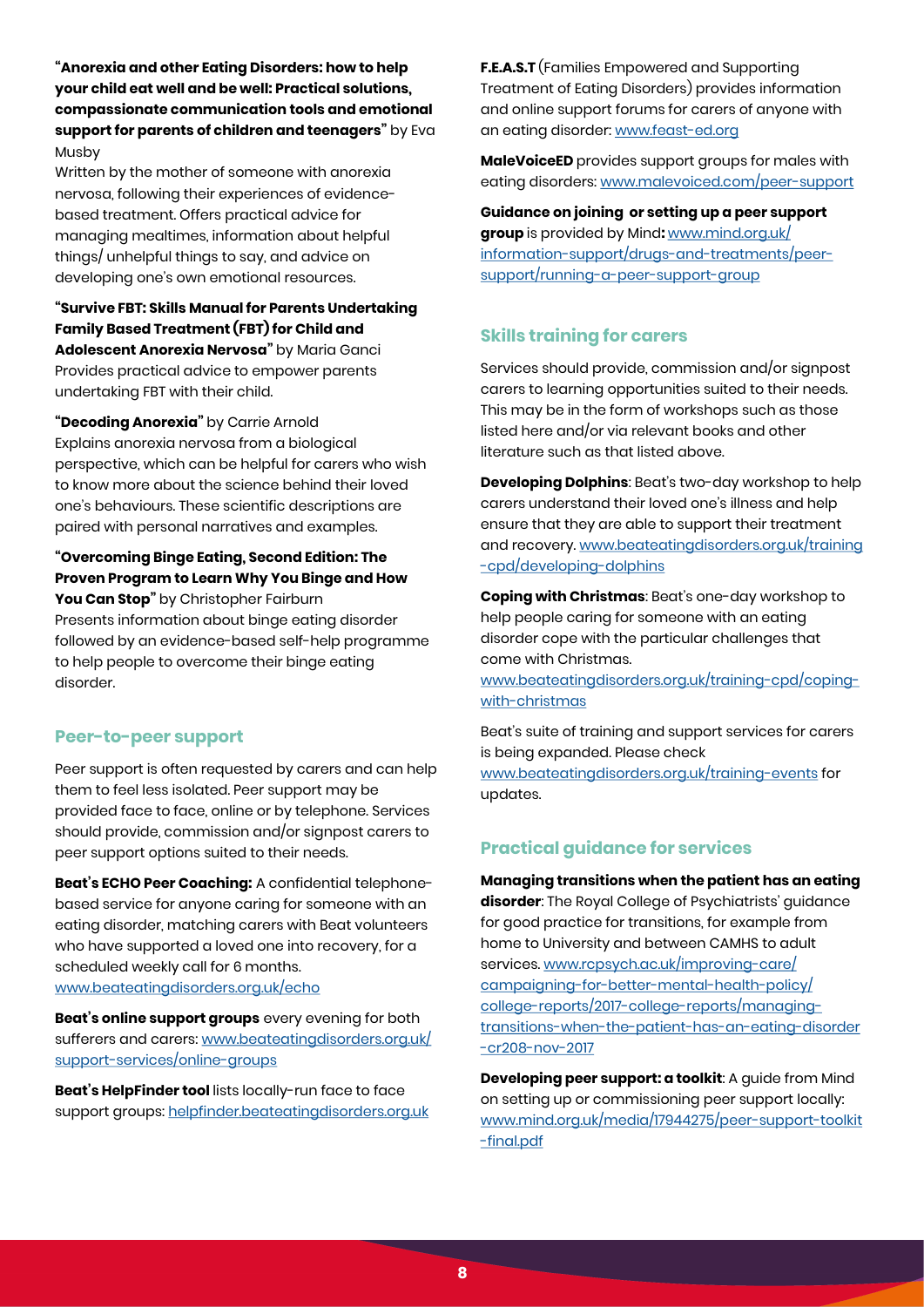**"Anorexia and other Eating Disorders: how to help your child eat well and be well: Practical solutions, compassionate communication tools and emotional support for parents of children and teenagers"** by Eva Musby

Written by the mother of someone with anorexia nervosa, following their experiences of evidencebased treatment. Offers practical advice for managing mealtimes, information about helpful things/ unhelpful things to say, and advice on developing one's own emotional resources.

**"Survive FBT: Skills Manual for Parents Undertaking Family Based Treatment (FBT) for Child and Adolescent Anorexia Nervosa"** by Maria Ganci Provides practical advice to empower parents undertaking FBT with their child.

**"Decoding Anorexia"** by Carrie Arnold Explains anorexia nervosa from a biological perspective, which can be helpful for carers who wish to know more about the science behind their loved one's behaviours. These scientific descriptions are paired with personal narratives and examples.

## **"Overcoming Binge Eating, Second Edition: The Proven Program to Learn Why You Binge and How**

**You Can Stop"** by Christopher Fairburn Presents information about binge eating disorder followed by an evidence-based self-help programme to help people to overcome their binge eating disorder.

## **Peer-to-peer support**

Peer support is often requested by carers and can help them to feel less isolated. Peer support may be provided face to face, online or by telephone. Services should provide, commission and/or signpost carers to peer support options suited to their needs.

**Beat's ECHO Peer Coaching:** A confidential telephonebased service for anyone caring for someone with an eating disorder, matching carers with Beat volunteers who have supported a loved one into recovery, for a scheduled weekly call for 6 months. [www.beateatingdisorders.org.uk/echo](https://www.beateatingdisorders.org.uk/echo)

**Beat's online support groups** every evening for both sufferers and carers: [www.beateatingdisorders.org.uk/](https://www.beateatingdisorders.org.uk/support-services/online-groups) [support-services/online-groups](https://www.beateatingdisorders.org.uk/support-services/online-groups)

**Beat's HelpFinder tool** lists locally-run face to face support groups: [helpfinder.beateatingdisorders.org.uk](https://helpfinder.beateatingdisorders.org.uk/)  **F.E.A.S.T** (Families Empowered and Supporting Treatment of Eating Disorders) provides information and online support forums for carers of anyone with an eating disorder: [www.feast-ed.org](https://www.feast-ed.org/) 

**MaleVoiceED** provides support groups for males with eating disorders: [www.malevoiced.com/peer-support](https://www.malevoiced.com/peer-support)

**Guidance on joining or setting up a peer support group** is provided by Mind**:** [www.mind.org.uk/](https://www.mind.org.uk/information-support/drugs-and-treatments/peer-support/running-a-peer-support-group/) [information-support/drugs-and-treatments/peer](https://www.mind.org.uk/information-support/drugs-and-treatments/peer-support/running-a-peer-support-group/)[support/running-a-peer-support-group](https://www.mind.org.uk/information-support/drugs-and-treatments/peer-support/running-a-peer-support-group/)

## **Skills training for carers**

Services should provide, commission and/or signpost carers to learning opportunities suited to their needs. This may be in the form of workshops such as those listed here and/or via relevant books and other literature such as that listed above.

**Developing Dolphins**: Beat's two-day workshop to help carers understand their loved one's illness and help ensure that they are able to support their treatment and recovery. [www.beateatingdisorders.org.uk/training](https://www.beateatingdisorders.org.uk/training-cpd/developing-dolphins) [-cpd/developing-dolphins](https://www.beateatingdisorders.org.uk/training-cpd/developing-dolphins)

**Coping with Christmas**: Beat's one-day workshop to help people caring for someone with an eating disorder cope with the particular challenges that come with Christmas.

[www.beateatingdisorders.org.uk/training-cpd/coping](https://www.beateatingdisorders.org.uk/training-cpd/coping-with-christmas)[with-christmas](https://www.beateatingdisorders.org.uk/training-cpd/coping-with-christmas)

Beat's suite of training and support services for carers is being expanded. Please check [www.beateatingdisorders.org.uk/training-events](https://www.beateatingdisorders.org.uk/training-events) for updates.

## **Practical guidance for services**

**Managing transitions when the patient has an eating disorder**: The Royal College of Psychiatrists' guidance for good practice for transitions, for example from home to University and between CAMHS to adult services. [www.rcpsych.ac.uk/improving-care/](https://www.rcpsych.ac.uk/improving-care/campaigning-for-better-mental-health-policy/college-reports/2017-college-reports/managing-transitions-when-the-patient-has-an-eating-disorder-cr208-nov-2017) [campaigning-for-better-mental-health-policy/](https://www.rcpsych.ac.uk/improving-care/campaigning-for-better-mental-health-policy/college-reports/2017-college-reports/managing-transitions-when-the-patient-has-an-eating-disorder-cr208-nov-2017) [college-reports/2017-college-reports/managing](https://www.rcpsych.ac.uk/improving-care/campaigning-for-better-mental-health-policy/college-reports/2017-college-reports/managing-transitions-when-the-patient-has-an-eating-disorder-cr208-nov-2017)[transitions-when-the-patient-has-an-eating-disorder](https://www.rcpsych.ac.uk/improving-care/campaigning-for-better-mental-health-policy/college-reports/2017-college-reports/managing-transitions-when-the-patient-has-an-eating-disorder-cr208-nov-2017) [-cr208-nov-2017](https://www.rcpsych.ac.uk/improving-care/campaigning-for-better-mental-health-policy/college-reports/2017-college-reports/managing-transitions-when-the-patient-has-an-eating-disorder-cr208-nov-2017)

**Developing peer support: a toolkit**: A guide from Mind on setting up or commissioning peer support locally: [www.mind.org.uk/media/17944275/peer-support-toolkit](https://www.mind.org.uk/media/17944275/peer-support-toolkit-final.pdf) [-final.pdf](https://www.mind.org.uk/media/17944275/peer-support-toolkit-final.pdf)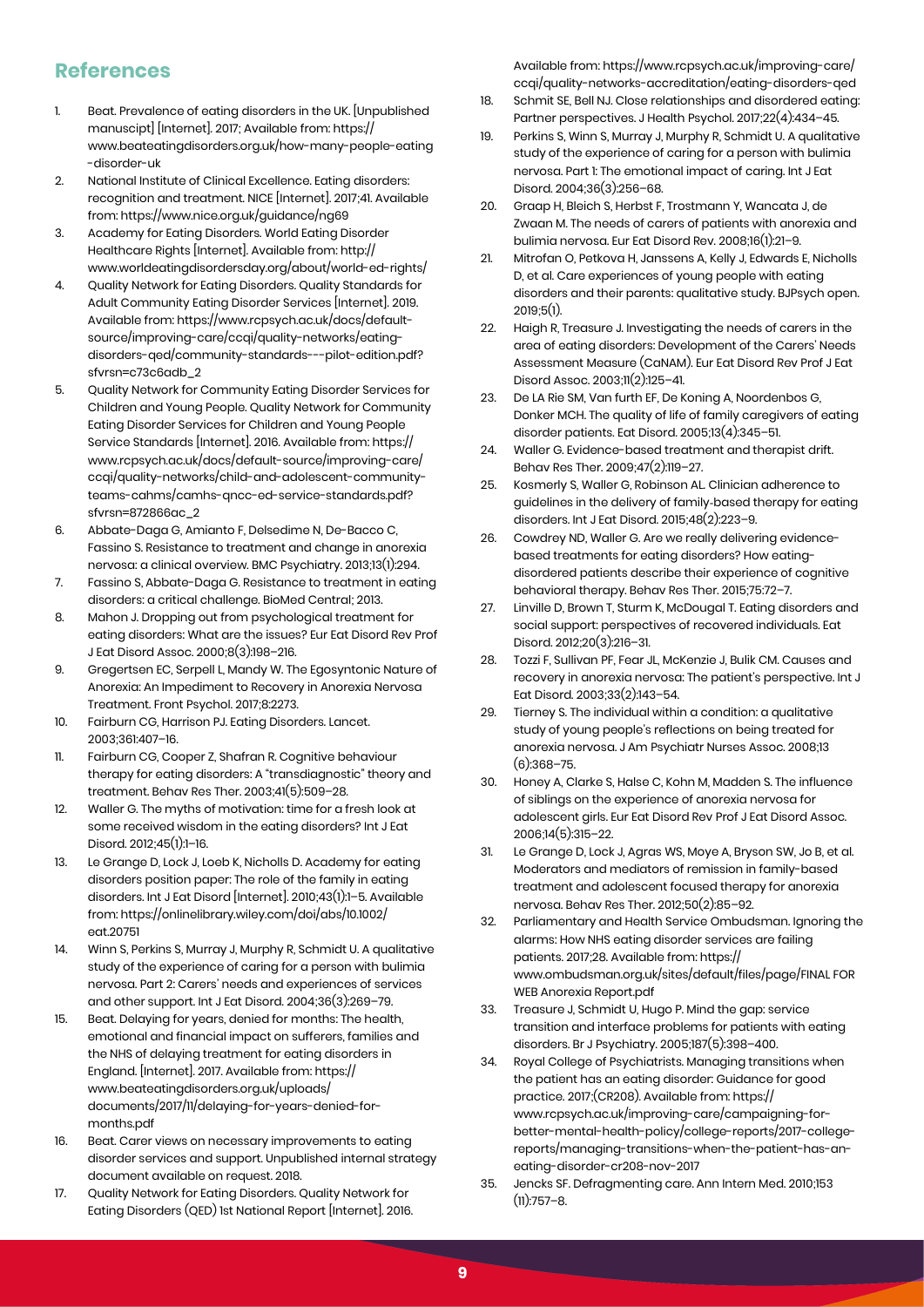## **References**

- 1. Beat. Prevalence of eating disorders in the UK. [Unpublished manuscipt] [Internet]. 2017; Available from: https:// www.beateatingdisorders.org.uk/how-many-people-eating -disorder-uk
- 2. National Institute of Clinical Excellence. Eating disorders: recognition and treatment. NICE [Internet]. 2017;41. Available from: https://www.nice.org.uk/guidance/ng69
- 3. Academy for Eating Disorders. World Eating Disorder Healthcare Rights [Internet]. Available from: http:// www.worldeatingdisordersday.org/about/world-ed-rights/
- 4. Quality Network for Eating Disorders. Quality Standards for Adult Community Eating Disorder Services [Internet]. 2019. Available from: https://www.rcpsych.ac.uk/docs/defaultsource/improving-care/ccqi/quality-networks/eatingdisorders-qed/community-standards---pilot-edition.pdf? sfvrsn=c73c6adb\_2
- 5. Quality Network for Community Eating Disorder Services for Children and Young People. Quality Network for Community Eating Disorder Services for Children and Young People Service Standards [Internet]. 2016. Available from: https:// www.rcpsych.ac.uk/docs/default-source/improving-care/ ccqi/quality-networks/child-and-adolescent-communityteams-cahms/camhs-qncc-ed-service-standards.pdf? sfvrsn=872866ac\_2
- 6. Abbate-Daga G, Amianto F, Delsedime N, De-Bacco C, Fassino S. Resistance to treatment and change in anorexia nervosa: a clinical overview. BMC Psychiatry. 2013;13(1):294.
- 7. Fassino S, Abbate-Daga G. Resistance to treatment in eating disorders: a critical challenge. BioMed Central; 2013.
- 8. Mahon J. Dropping out from psychological treatment for eating disorders: What are the issues? Eur Eat Disord Rev Prof J Eat Disord Assoc. 2000;8(3):198–216.
- 9. Gregertsen EC, Serpell L, Mandy W. The Egosyntonic Nature of Anorexia: An Impediment to Recovery in Anorexia Nervosa Treatment. Front Psychol. 2017;8:2273.
- 10. Fairburn CG, Harrison PJ. Eating Disorders. Lancet. 2003;361:407–16.
- 11. Fairburn CG, Cooper Z, Shafran R. Cognitive behaviour therapy for eating disorders: A "transdiagnostic" theory and treatment. Behav Res Ther. 2003;41(5):509–28.
- 12. Waller G. The myths of motivation: time for a fresh look at some received wisdom in the eating disorders? Int J Eat Disord. 2012;45(1):1–16.
- 13. Le Grange D, Lock J, Loeb K, Nicholls D. Academy for eating disorders position paper: The role of the family in eating disorders. Int J Eat Disord [Internet]. 2010;43(1):1–5. Available from: https://onlinelibrary.wiley.com/doi/abs/10.1002/ eat.20751
- 14. Winn S, Perkins S, Murray J, Murphy R, Schmidt U. A qualitative study of the experience of caring for a person with bulimia nervosa. Part 2: Carers' needs and experiences of services and other support. Int J Eat Disord. 2004;36(3):269–79.
- 15. Beat. Delaying for years, denied for months: The health, emotional and financial impact on sufferers, families and the NHS of delaying treatment for eating disorders in England. [Internet]. 2017. Available from: https:// www.beateatingdisorders.org.uk/uploads/ documents/2017/11/delaying-for-years-denied-formonths.pdf
- 16. Beat. Carer views on necessary improvements to eating disorder services and support. Unpublished internal strategy document available on request. 2018.
- 17. Quality Network for Eating Disorders. Quality Network for Eating Disorders (QED) 1st National Report [Internet]. 2016.

Available from: https://www.rcpsych.ac.uk/improving-care/ ccqi/quality-networks-accreditation/eating-disorders-qed

- 18. Schmit SE, Bell NJ. Close relationships and disordered eating: Partner perspectives. J Health Psychol. 2017;22(4):434–45.
- 19. Perkins S, Winn S, Murray J, Murphy R, Schmidt U. A qualitative study of the experience of caring for a person with bulimia nervosa. Part 1: The emotional impact of caring. Int J Eat Disord. 2004;36(3):256–68.
- 20. Graap H, Bleich S, Herbst F, Trostmann Y, Wancata J, de Zwaan M. The needs of carers of patients with anorexia and bulimia nervosa. Eur Eat Disord Rev. 2008;16(1):21–9.
- 21. Mitrofan O, Petkova H, Janssens A, Kelly J, Edwards E, Nicholls D, et al. Care experiences of young people with eating disorders and their parents: qualitative study. BJPsych open. 2019;5(1).
- 22. Haigh R, Treasure J. Investigating the needs of carers in the area of eating disorders: Development of the Carers' Needs Assessment Measure (CaNAM). Eur Eat Disord Rev Prof J Eat Disord Assoc. 2003;11(2):125–41.
- 23. De LA Rie SM, Van furth EF, De Koning A, Noordenbos G, Donker MCH. The quality of life of family caregivers of eating disorder patients. Eat Disord. 2005;13(4):345–51.
- 24. Waller G. Evidence-based treatment and therapist drift. Behav Res Ther. 2009;47(2):119–27.
- 25. Kosmerly S, Waller G, Robinson AL. Clinician adherence to guidelines in the delivery of family‐based therapy for eating disorders. Int J Eat Disord. 2015;48(2):223–9.
- 26. Cowdrey ND, Waller G. Are we really delivering evidencebased treatments for eating disorders? How eatingdisordered patients describe their experience of cognitive behavioral therapy. Behav Res Ther. 2015;75:72–7.
- 27. Linville D, Brown T, Sturm K, McDougal T. Eating disorders and social support: perspectives of recovered individuals. Eat Disord. 2012;20(3):216–31.
- 28. Tozzi F, Sullivan PF, Fear JL, McKenzie J, Bulik CM. Causes and recovery in anorexia nervosa: The patient's perspective. Int J Eat Disord. 2003;33(2):143–54.
- 29. Tierney S. The individual within a condition: a qualitative study of young people's reflections on being treated for anorexia nervosa. J Am Psychiatr Nurses Assoc. 2008;13 (6):368–75.
- 30. Honey A, Clarke S, Halse C, Kohn M, Madden S. The influence of siblings on the experience of anorexia nervosa for adolescent girls. Eur Eat Disord Rev Prof J Eat Disord Assoc. 2006;14(5):315–22.
- 31. Le Grange D, Lock J, Agras WS, Moye A, Bryson SW, Jo B, et al. Moderators and mediators of remission in family-based treatment and adolescent focused therapy for anorexia nervosa. Behav Res Ther. 2012;50(2):85–92.
- 32. Parliamentary and Health Service Ombudsman. Ignoring the alarms: How NHS eating disorder services are failing patients. 2017;28. Available from: https:// www.ombudsman.org.uk/sites/default/files/page/FINAL FOR WEB Anorexia Report.pdf
- 33. Treasure J, Schmidt U, Hugo P. Mind the gap: service transition and interface problems for patients with eating disorders. Br J Psychiatry. 2005;187(5):398–400.
- 34. Royal College of Psychiatrists. Managing transitions when the patient has an eating disorder: Guidance for good practice. 2017;(CR208). Available from: https:// www.rcpsych.ac.uk/improving-care/campaigning-forbetter-mental-health-policy/college-reports/2017-collegereports/managing-transitions-when-the-patient-has-aneating-disorder-cr208-nov-2017
- 35. Jencks SF. Defragmenting care. Ann Intern Med. 2010;153  $(11):757-8.$